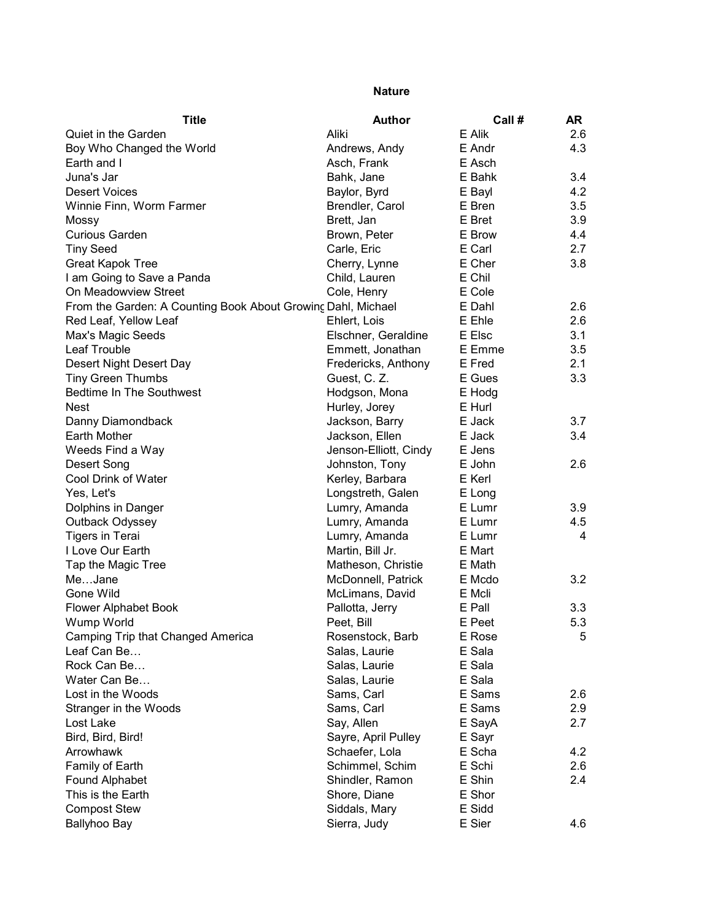## Nature

| <b>Title</b>                                                 | <b>Author</b>         | Call#  | <b>AR</b> |
|--------------------------------------------------------------|-----------------------|--------|-----------|
| Quiet in the Garden                                          | Aliki                 | E Alik | 2.6       |
| Boy Who Changed the World                                    | Andrews, Andy         | E Andr | 4.3       |
| Earth and I                                                  | Asch, Frank           | E Asch |           |
| Juna's Jar                                                   | Bahk, Jane            | E Bahk | 3.4       |
| <b>Desert Voices</b>                                         | Baylor, Byrd          | E Bayl | 4.2       |
| Winnie Finn, Worm Farmer                                     | Brendler, Carol       | E Bren | 3.5       |
| Mossy                                                        | Brett, Jan            | E Bret | 3.9       |
| <b>Curious Garden</b>                                        | Brown, Peter          | E Brow | 4.4       |
| <b>Tiny Seed</b>                                             | Carle, Eric           | E Carl | 2.7       |
| <b>Great Kapok Tree</b>                                      | Cherry, Lynne         | E Cher | 3.8       |
| I am Going to Save a Panda                                   | Child, Lauren         | E Chil |           |
| On Meadowview Street                                         | Cole, Henry           | E Cole |           |
| From the Garden: A Counting Book About Growing Dahl, Michael |                       | E Dahl | 2.6       |
| Red Leaf, Yellow Leaf                                        | Ehlert, Lois          | E Ehle | 2.6       |
| Max's Magic Seeds                                            | Elschner, Geraldine   | E Elsc | 3.1       |
| Leaf Trouble                                                 | Emmett, Jonathan      | E Emme | 3.5       |
| Desert Night Desert Day                                      | Fredericks, Anthony   | E Fred | 2.1       |
| <b>Tiny Green Thumbs</b>                                     | Guest, C. Z.          | E Gues | 3.3       |
| <b>Bedtime In The Southwest</b>                              | Hodgson, Mona         | E Hodg |           |
| <b>Nest</b>                                                  | Hurley, Jorey         | E Hurl |           |
| Danny Diamondback                                            | Jackson, Barry        | E Jack | 3.7       |
| Earth Mother                                                 | Jackson, Ellen        | E Jack | 3.4       |
| Weeds Find a Way                                             | Jenson-Elliott, Cindy | E Jens |           |
| Desert Song                                                  | Johnston, Tony        | E John | 2.6       |
| Cool Drink of Water                                          | Kerley, Barbara       | E Kerl |           |
| Yes, Let's                                                   | Longstreth, Galen     | E Long |           |
| Dolphins in Danger                                           | Lumry, Amanda         | E Lumr | 3.9       |
| Outback Odyssey                                              | Lumry, Amanda         | E Lumr | 4.5       |
| <b>Tigers in Terai</b>                                       | Lumry, Amanda         | E Lumr | 4         |
| I Love Our Earth                                             | Martin, Bill Jr.      | E Mart |           |
| Tap the Magic Tree                                           | Matheson, Christie    | E Math |           |
| MeJane                                                       | McDonnell, Patrick    | E Mcdo | 3.2       |
| Gone Wild                                                    | McLimans, David       | E Mcli |           |
| <b>Flower Alphabet Book</b>                                  | Pallotta, Jerry       | E Pall | 3.3       |
| Wump World                                                   | Peet, Bill            | E Peet | 5.3       |
| Camping Trip that Changed America                            | Rosenstock, Barb      | E Rose | 5         |
| Leaf Can Be                                                  | Salas, Laurie         | E Sala |           |
| Rock Can Be                                                  | Salas, Laurie         | E Sala |           |
| Water Can Be                                                 | Salas, Laurie         | E Sala |           |
| Lost in the Woods                                            | Sams, Carl            | E Sams | 2.6       |
| Stranger in the Woods                                        | Sams, Carl            | E Sams | 2.9       |
| Lost Lake                                                    | Say, Allen            | E SayA | 2.7       |
| Bird, Bird, Bird!                                            | Sayre, April Pulley   | E Sayr |           |
| Arrowhawk                                                    | Schaefer, Lola        | E Scha | 4.2       |
| Family of Earth                                              | Schimmel, Schim       | E Schi | 2.6       |
| Found Alphabet                                               | Shindler, Ramon       | E Shin | 2.4       |
| This is the Earth                                            | Shore, Diane          | E Shor |           |
| <b>Compost Stew</b>                                          | Siddals, Mary         | E Sidd |           |
| Ballyhoo Bay                                                 | Sierra, Judy          | E Sier | 4.6       |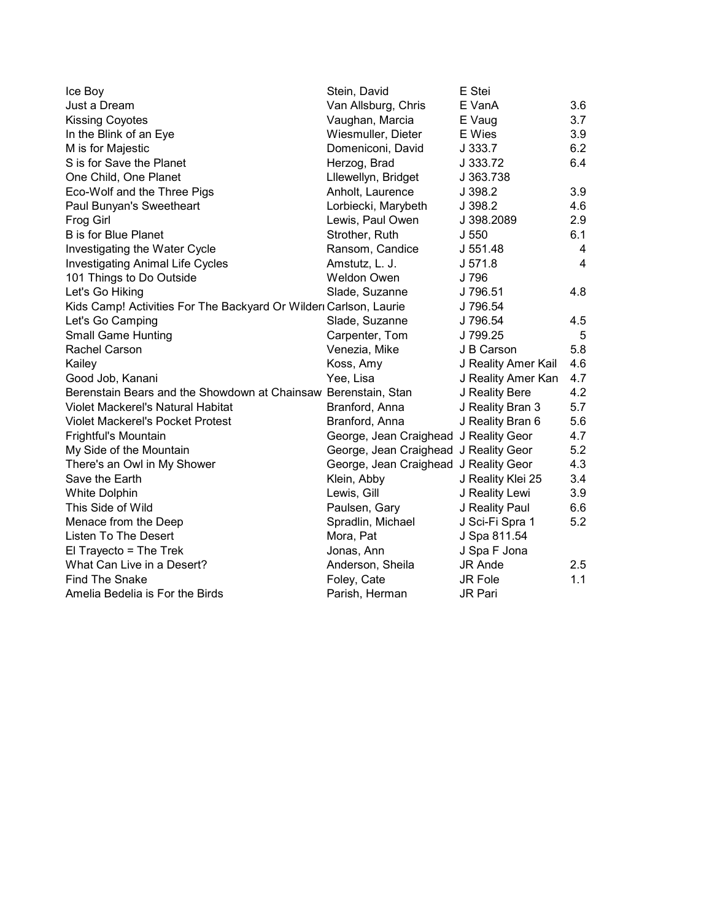| Ice Boy                                                          | Stein, David                          | E Stei              |                |
|------------------------------------------------------------------|---------------------------------------|---------------------|----------------|
| Just a Dream                                                     | Van Allsburg, Chris                   | E VanA              | 3.6            |
| <b>Kissing Coyotes</b>                                           | Vaughan, Marcia                       | E Vaug              | 3.7            |
| In the Blink of an Eye                                           | Wiesmuller, Dieter                    | E Wies              | 3.9            |
| M is for Majestic                                                | Domeniconi, David                     | J 333.7             | 6.2            |
| S is for Save the Planet                                         | Herzog, Brad                          | J 333.72            | 6.4            |
| One Child, One Planet                                            | Lllewellyn, Bridget                   | J 363.738           |                |
| Eco-Wolf and the Three Pigs                                      | Anholt, Laurence                      | J 398.2             | 3.9            |
| Paul Bunyan's Sweetheart                                         | Lorbiecki, Marybeth                   | J 398.2             | 4.6            |
| Frog Girl                                                        | Lewis, Paul Owen                      | J 398.2089          | 2.9            |
| <b>B</b> is for Blue Planet                                      | Strother, Ruth                        | J <sub>550</sub>    | 6.1            |
| Investigating the Water Cycle                                    | Ransom, Candice                       | J 551.48            | 4              |
| <b>Investigating Animal Life Cycles</b>                          | Amstutz, L. J.                        | J 571.8             | $\overline{4}$ |
| 101 Things to Do Outside                                         | <b>Weldon Owen</b>                    | J 796               |                |
| Let's Go Hiking                                                  | Slade, Suzanne                        | J 796.51            | 4.8            |
| Kids Camp! Activities For The Backyard Or Wilder Carlson, Laurie |                                       | J 796.54            |                |
| Let's Go Camping                                                 | Slade, Suzanne                        | J 796.54            | 4.5            |
| <b>Small Game Hunting</b>                                        | Carpenter, Tom                        | J 799.25            | 5              |
| Rachel Carson                                                    | Venezia, Mike                         | J B Carson          | 5.8            |
| Kailey                                                           | Koss, Amy                             | J Reality Amer Kail | 4.6            |
| Good Job, Kanani                                                 | Yee, Lisa                             | J Reality Amer Kan  | 4.7            |
| Berenstain Bears and the Showdown at Chainsaw Berenstain, Stan   |                                       | J Reality Bere      | 4.2            |
| Violet Mackerel's Natural Habitat                                | Branford, Anna                        | J Reality Bran 3    | 5.7            |
| <b>Violet Mackerel's Pocket Protest</b>                          | Branford, Anna                        | J Reality Bran 6    | 5.6            |
| Frightful's Mountain                                             | George, Jean Craighead J Reality Geor |                     | 4.7            |
| My Side of the Mountain                                          | George, Jean Craighead J Reality Geor |                     | 5.2            |
| There's an Owl in My Shower                                      | George, Jean Craighead J Reality Geor |                     | 4.3            |
| Save the Earth                                                   | Klein, Abby                           | J Reality Klei 25   | 3.4            |
| <b>White Dolphin</b>                                             | Lewis, Gill                           | J Reality Lewi      | 3.9            |
| This Side of Wild                                                | Paulsen, Gary                         | J Reality Paul      | 6.6            |
| Menace from the Deep                                             | Spradlin, Michael                     | J Sci-Fi Spra 1     | 5.2            |
| Listen To The Desert                                             | Mora, Pat                             | J Spa 811.54        |                |
| $E1$ Trayecto = The Trek                                         | Jonas, Ann                            | J Spa F Jona        |                |
| What Can Live in a Desert?                                       | Anderson, Sheila                      | JR Ande             | 2.5            |
| <b>Find The Snake</b>                                            | Foley, Cate                           | JR Fole             | 1.1            |
| Amelia Bedelia is For the Birds                                  | Parish, Herman                        | JR Pari             |                |